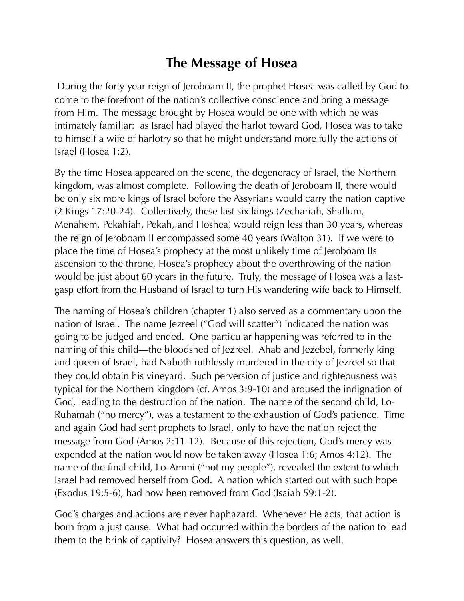## **The Message of Hosea**

 During the forty year reign of Jeroboam II, the prophet Hosea was called by God to come to the forefront of the nation's collective conscience and bring a message from Him. The message brought by Hosea would be one with which he was intimately familiar: as Israel had played the harlot toward God, Hosea was to take to himself a wife of harlotry so that he might understand more fully the actions of Israel (Hosea 1:2).

By the time Hosea appeared on the scene, the degeneracy of Israel, the Northern kingdom, was almost complete. Following the death of Jeroboam II, there would be only six more kings of Israel before the Assyrians would carry the nation captive (2 Kings 17:20-24). Collectively, these last six kings (Zechariah, Shallum, Menahem, Pekahiah, Pekah, and Hoshea) would reign less than 30 years, whereas the reign of Jeroboam II encompassed some 40 years (Walton 31). If we were to place the time of Hosea's prophecy at the most unlikely time of Jeroboam IIs ascension to the throne, Hosea's prophecy about the overthrowing of the nation would be just about 60 years in the future. Truly, the message of Hosea was a lastgasp effort from the Husband of Israel to turn His wandering wife back to Himself.

The naming of Hosea's children (chapter 1) also served as a commentary upon the nation of Israel. The name Jezreel ("God will scatter") indicated the nation was going to be judged and ended. One particular happening was referred to in the naming of this child—the bloodshed of Jezreel. Ahab and Jezebel, formerly king and queen of Israel, had Naboth ruthlessly murdered in the city of Jezreel so that they could obtain his vineyard. Such perversion of justice and righteousness was typical for the Northern kingdom (cf. Amos 3:9-10) and aroused the indignation of God, leading to the destruction of the nation. The name of the second child, Lo-Ruhamah ("no mercy"), was a testament to the exhaustion of God's patience. Time and again God had sent prophets to Israel, only to have the nation reject the message from God (Amos 2:11-12). Because of this rejection, God's mercy was expended at the nation would now be taken away (Hosea 1:6; Amos 4:12). The name of the final child, Lo-Ammi ("not my people"), revealed the extent to which Israel had removed herself from God. A nation which started out with such hope (Exodus 19:5-6), had now been removed from God (Isaiah 59:1-2).

God's charges and actions are never haphazard. Whenever He acts, that action is born from a just cause. What had occurred within the borders of the nation to lead them to the brink of captivity? Hosea answers this question, as well.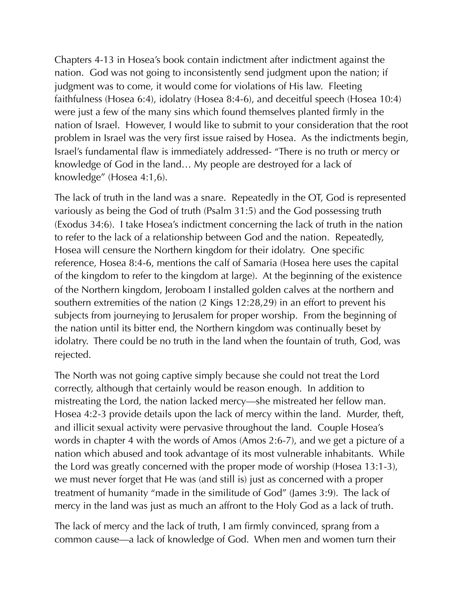Chapters 4-13 in Hosea's book contain indictment after indictment against the nation. God was not going to inconsistently send judgment upon the nation; if judgment was to come, it would come for violations of His law. Fleeting faithfulness (Hosea 6:4), idolatry (Hosea 8:4-6), and deceitful speech (Hosea 10:4) were just a few of the many sins which found themselves planted firmly in the nation of Israel. However, I would like to submit to your consideration that the root problem in Israel was the very first issue raised by Hosea. As the indictments begin, Israel's fundamental flaw is immediately addressed- "There is no truth or mercy or knowledge of God in the land… My people are destroyed for a lack of knowledge" (Hosea 4:1,6).

The lack of truth in the land was a snare. Repeatedly in the OT, God is represented variously as being the God of truth (Psalm 31:5) and the God possessing truth (Exodus 34:6). I take Hosea's indictment concerning the lack of truth in the nation to refer to the lack of a relationship between God and the nation. Repeatedly, Hosea will censure the Northern kingdom for their idolatry. One specific reference, Hosea 8:4-6, mentions the calf of Samaria (Hosea here uses the capital of the kingdom to refer to the kingdom at large). At the beginning of the existence of the Northern kingdom, Jeroboam I installed golden calves at the northern and southern extremities of the nation (2 Kings 12:28,29) in an effort to prevent his subjects from journeying to Jerusalem for proper worship. From the beginning of the nation until its bitter end, the Northern kingdom was continually beset by idolatry. There could be no truth in the land when the fountain of truth, God, was rejected.

The North was not going captive simply because she could not treat the Lord correctly, although that certainly would be reason enough. In addition to mistreating the Lord, the nation lacked mercy—she mistreated her fellow man. Hosea 4:2-3 provide details upon the lack of mercy within the land. Murder, theft, and illicit sexual activity were pervasive throughout the land. Couple Hosea's words in chapter 4 with the words of Amos (Amos 2:6-7), and we get a picture of a nation which abused and took advantage of its most vulnerable inhabitants. While the Lord was greatly concerned with the proper mode of worship (Hosea 13:1-3), we must never forget that He was (and still is) just as concerned with a proper treatment of humanity "made in the similitude of God" (James 3:9). The lack of mercy in the land was just as much an affront to the Holy God as a lack of truth.

The lack of mercy and the lack of truth, I am firmly convinced, sprang from a common cause—a lack of knowledge of God. When men and women turn their